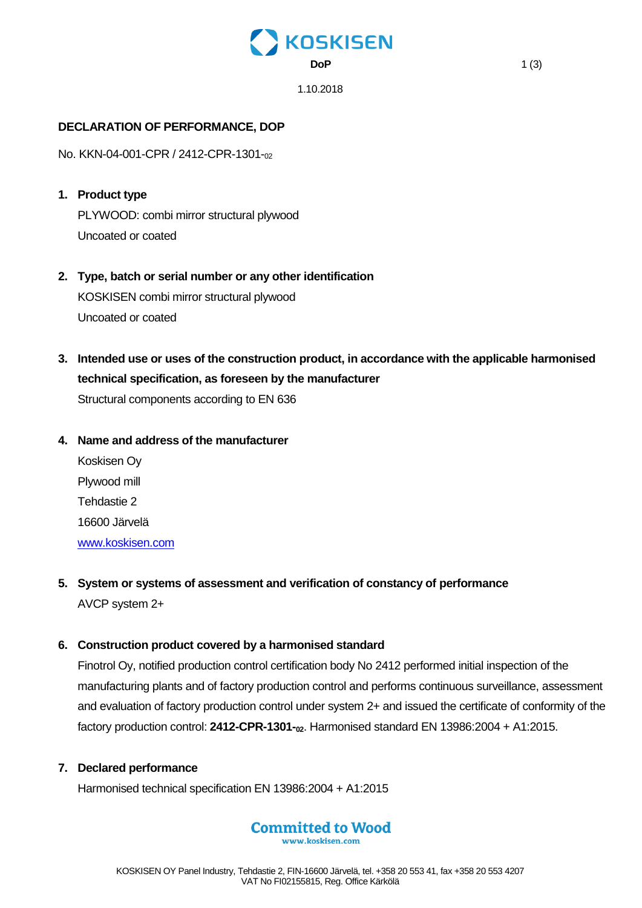# **KOSKISEN DoP** 1 (3)

1.10.2018

## **DECLARATION OF PERFORMANCE, DOP**

No. KKN-04-001-CPR / 2412-CPR-1301-<sup>02</sup>

- **1. Product type** PLYWOOD: combi mirror structural plywood Uncoated or coated
- **2. Type, batch or serial number or any other identification** KOSKISEN combi mirror structural plywood Uncoated or coated
- **3. Intended use or uses of the construction product, in accordance with the applicable harmonised technical specification, as foreseen by the manufacturer** Structural components according to EN 636

## **4. Name and address of the manufacturer**

Koskisen Oy Plywood mill Tehdastie 2 16600 Järvelä [www.koskisen.com](http://www.koskisen.com/)

**5. System or systems of assessment and verification of constancy of performance** AVCP system 2+

## **6. Construction product covered by a harmonised standard**

Finotrol Oy, notified production control certification body No 2412 performed initial inspection of the manufacturing plants and of factory production control and performs continuous surveillance, assessment and evaluation of factory production control under system 2+ and issued the certificate of conformity of the factory production control: **2412-CPR-1301-02**. Harmonised standard EN 13986:2004 + A1:2015.

## **7. Declared performance**

Harmonised technical specification EN 13986:2004 + A1:2015

## **Committed to Wood**

www.koskisen.com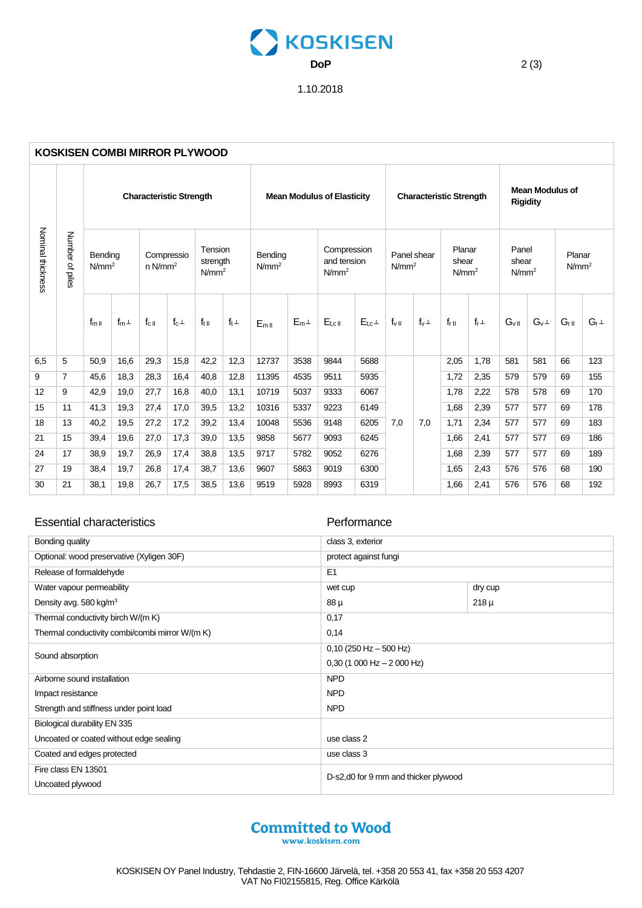# KOSKISEN **DoP** 2 (3)

## 1.10.2018

| <b>KOSKISEN COMBI MIRROR PLYWOOD</b> |                        |                                |           |                                     |            |                                          |             |                                   |         |                                                 |           |                                  |             |                                      |             |                                           |             |                             |             |
|--------------------------------------|------------------------|--------------------------------|-----------|-------------------------------------|------------|------------------------------------------|-------------|-----------------------------------|---------|-------------------------------------------------|-----------|----------------------------------|-------------|--------------------------------------|-------------|-------------------------------------------|-------------|-----------------------------|-------------|
| Nominal thickness                    | Number<br>Q,<br>ipiles | <b>Characteristic Strength</b> |           |                                     |            |                                          |             | <b>Mean Modulus of Elasticity</b> |         |                                                 |           | <b>Characteristic Strength</b>   |             |                                      |             | <b>Mean Modulus of</b><br><b>Rigidity</b> |             |                             |             |
|                                      |                        | Bending<br>N/mm <sup>2</sup>   |           | Compressio<br>$n$ N/mm <sup>2</sup> |            | Tension<br>strength<br>N/mm <sup>2</sup> |             | Bending<br>N/mm <sup>2</sup>      |         | Compression<br>and tension<br>N/mm <sup>2</sup> |           | Panel shear<br>N/mm <sup>2</sup> |             | Planar<br>shear<br>N/mm <sup>2</sup> |             | Panel<br>shear<br>N/mm <sup>2</sup>       |             | Planar<br>N/mm <sup>2</sup> |             |
|                                      |                        | $f_{mII}$                      | $f_m\bot$ | $f_{c}$                             | $f_c\perp$ | $f_{\text{t} \parallel}$                 | $f_t \perp$ | $E_{mII}$                         | $E_{m}$ | $E_{t, c II}$                                   | $E_{t,c}$ | $f_{\vee}$                       | $f_v \perp$ | $f_{r  }$                            | $f_r \perp$ | $G_{\vee \,\parallel}$                    | $G_v \perp$ | $G_{r  }$                   | $G_r \perp$ |
| 6.5                                  | 5                      | 50.9                           | 16.6      | 29.3                                | 15,8       | 42,2                                     | 12,3        | 12737                             | 3538    | 9844                                            | 5688      |                                  |             | 2,05                                 | 1.78        | 581                                       | 581         | 66                          | 123         |
| 9                                    | $\overline{7}$         | 45,6                           | 18,3      | 28,3                                | 16,4       | 40.8                                     | 12,8        | 11395                             | 4535    | 9511                                            | 5935      | 7.0                              | 7,0         | 1,72                                 | 2,35        | 579                                       | 579         | 69                          | 155         |
| 12                                   | 9                      | 42,9                           | 19,0      | 27,7                                | 16,8       | 40.0                                     | 13,1        | 10719                             | 5037    | 9333                                            | 6067      |                                  |             | 1,78                                 | 2,22        | 578                                       | 578         | 69                          | 170         |
| 15                                   | 11                     | 41,3                           | 19,3      | 27,4                                | 17,0       | 39,5                                     | 13,2        | 10316                             | 5337    | 9223                                            | 6149      |                                  |             | 1,68                                 | 2,39        | 577                                       | 577         | 69                          | 178         |
| 18                                   | 13                     | 40,2                           | 19,5      | 27,2                                | 17,2       | 39,2                                     | 13,4        | 10048                             | 5536    | 9148                                            | 6205      |                                  |             | 1.71                                 | 2,34        | 577                                       | 577         | 69                          | 183         |
| 21                                   | 15                     | 39,4                           | 19,6      | 27,0                                | 17,3       | 39,0                                     | 13,5        | 9858                              | 5677    | 9093                                            | 6245      |                                  |             | 1,66                                 | 2,41        | 577                                       | 577         | 69                          | 186         |
| 24                                   | 17                     | 38,9                           | 19,7      | 26,9                                | 17,4       | 38,8                                     | 13,5        | 9717                              | 5782    | 9052                                            | 6276      |                                  |             | 1,68                                 | 2,39        | 577                                       | 577         | 69                          | 189         |
| 27                                   | 19                     | 38,4                           | 19,7      | 26,8                                | 17,4       | 38,7                                     | 13,6        | 9607                              | 5863    | 9019                                            | 6300      |                                  |             | 1,65                                 | 2,43        | 576                                       | 576         | 68                          | 190         |
| 30                                   | 21                     | 38,1                           | 19,8      | 26,7                                | 17,5       | 38,5                                     | 13,6        | 9519                              | 5928    | 8993                                            | 6319      |                                  |             | 1,66                                 | 2,41        | 576                                       | 576         | 68                          | 192         |

### Essential characteristics **Performance**

| Bonding quality                                 | class 3, exterior                     |           |  |  |  |  |
|-------------------------------------------------|---------------------------------------|-----------|--|--|--|--|
| Optional: wood preservative (Xyligen 30F)       | protect against fungi                 |           |  |  |  |  |
| Release of formaldehyde                         | E1                                    |           |  |  |  |  |
| Water vapour permeability                       | wet cup                               | dry cup   |  |  |  |  |
| Density avg. 580 kg/m <sup>3</sup>              | 88 µ                                  | $218 \mu$ |  |  |  |  |
| Thermal conductivity birch W/(m K)              | 0,17                                  |           |  |  |  |  |
| Thermal conductivity combi/combi mirror W/(m K) | 0,14                                  |           |  |  |  |  |
| Sound absorption                                | $0,10$ (250 Hz - 500 Hz)              |           |  |  |  |  |
|                                                 | $0,30$ (1 000 Hz $- 2$ 000 Hz)        |           |  |  |  |  |
| Airborne sound installation                     | <b>NPD</b>                            |           |  |  |  |  |
| Impact resistance                               | <b>NPD</b>                            |           |  |  |  |  |
| Strength and stiffness under point load         | <b>NPD</b>                            |           |  |  |  |  |
| Biological durability EN 335                    |                                       |           |  |  |  |  |
| Uncoated or coated without edge sealing         | use class 2                           |           |  |  |  |  |
| Coated and edges protected                      | use class 3                           |           |  |  |  |  |
| Fire class EN 13501                             | D-s2, d0 for 9 mm and thicker plywood |           |  |  |  |  |
| Uncoated plywood                                |                                       |           |  |  |  |  |
|                                                 |                                       |           |  |  |  |  |

www.koskisen.com